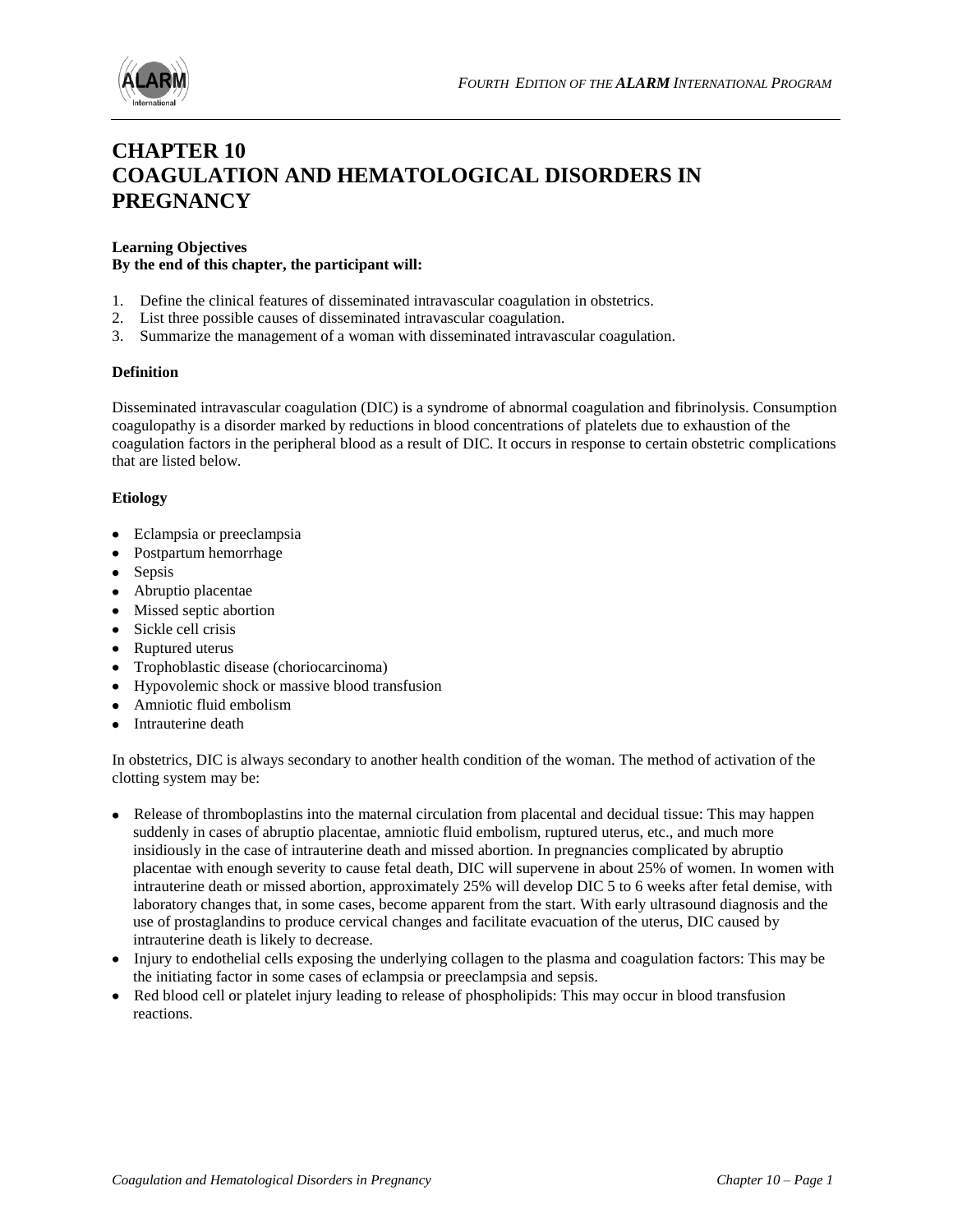

# **CHAPTER 10 COAGULATION AND HEMATOLOGICAL DISORDERS IN PREGNANCY**

# **Learning Objectives By the end of this chapter, the participant will:**

- 1. Define the clinical features of disseminated intravascular coagulation in obstetrics.
- 2. List three possible causes of disseminated intravascular coagulation.
- 3. Summarize the management of a woman with disseminated intravascular coagulation.

## **Definition**

Disseminated intravascular coagulation (DIC) is a syndrome of abnormal coagulation and fibrinolysis. Consumption coagulopathy is a disorder marked by reductions in blood concentrations of platelets due to exhaustion of the coagulation factors in the peripheral blood as a result of DIC. It occurs in response to certain obstetric complications that are listed below.

#### **Etiology**

- Eclampsia or preeclampsia
- Postpartum hemorrhage
- Sepsis
- Abruptio placentae
- Missed septic abortion
- Sickle cell crisis
- Ruptured uterus
- Trophoblastic disease (choriocarcinoma)
- Hypovolemic shock or massive blood transfusion
- Amniotic fluid embolism
- Intrauterine death

In obstetrics, DIC is always secondary to another health condition of the woman. The method of activation of the clotting system may be:

- Release of thromboplastins into the maternal circulation from placental and decidual tissue: This may happen suddenly in cases of abruptio placentae, amniotic fluid embolism, ruptured uterus, etc., and much more insidiously in the case of intrauterine death and missed abortion. In pregnancies complicated by abruptio placentae with enough severity to cause fetal death, DIC will supervene in about 25% of women. In women with intrauterine death or missed abortion, approximately 25% will develop DIC 5 to 6 weeks after fetal demise, with laboratory changes that, in some cases, become apparent from the start. With early ultrasound diagnosis and the use of prostaglandins to produce cervical changes and facilitate evacuation of the uterus, DIC caused by intrauterine death is likely to decrease.
- Injury to endothelial cells exposing the underlying collagen to the plasma and coagulation factors: This may be the initiating factor in some cases of eclampsia or preeclampsia and sepsis.
- Red blood cell or platelet injury leading to release of phospholipids: This may occur in blood transfusion reactions.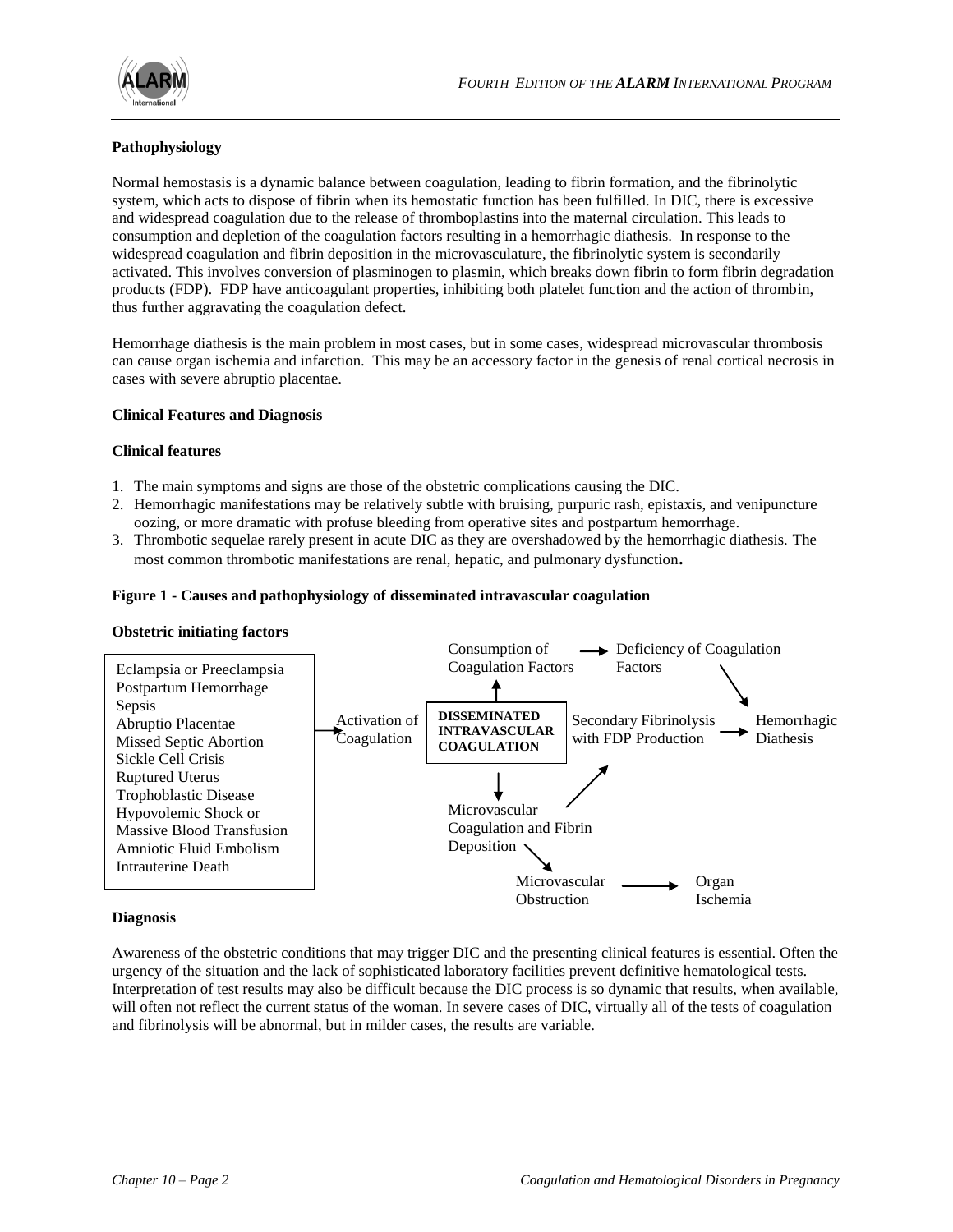

## **Pathophysiology**

Normal hemostasis is a dynamic balance between coagulation, leading to fibrin formation, and the fibrinolytic system, which acts to dispose of fibrin when its hemostatic function has been fulfilled. In DIC, there is excessive and widespread coagulation due to the release of thromboplastins into the maternal circulation. This leads to consumption and depletion of the coagulation factors resulting in a hemorrhagic diathesis. In response to the widespread coagulation and fibrin deposition in the microvasculature, the fibrinolytic system is secondarily activated. This involves conversion of plasminogen to plasmin, which breaks down fibrin to form fibrin degradation products (FDP). FDP have anticoagulant properties, inhibiting both platelet function and the action of thrombin, thus further aggravating the coagulation defect.

Hemorrhage diathesis is the main problem in most cases, but in some cases, widespread microvascular thrombosis can cause organ ischemia and infarction. This may be an accessory factor in the genesis of renal cortical necrosis in cases with severe abruptio placentae.

## **Clinical Features and Diagnosis**

## **Clinical features**

- 1. The main symptoms and signs are those of the obstetric complications causing the DIC.
- 2. Hemorrhagic manifestations may be relatively subtle with bruising, purpuric rash, epistaxis, and venipuncture oozing, or more dramatic with profuse bleeding from operative sites and postpartum hemorrhage.
- 3. Thrombotic sequelae rarely present in acute DIC as they are overshadowed by the hemorrhagic diathesis. The most common thrombotic manifestations are renal, hepatic, and pulmonary dysfunction**.**

## **Figure 1 - Causes and pathophysiology of disseminated intravascular coagulation**

## **Obstetric initiating factors**



## **Diagnosis**

Awareness of the obstetric conditions that may trigger DIC and the presenting clinical features is essential. Often the urgency of the situation and the lack of sophisticated laboratory facilities prevent definitive hematological tests. Interpretation of test results may also be difficult because the DIC process is so dynamic that results, when available, will often not reflect the current status of the woman. In severe cases of DIC, virtually all of the tests of coagulation and fibrinolysis will be abnormal, but in milder cases, the results are variable.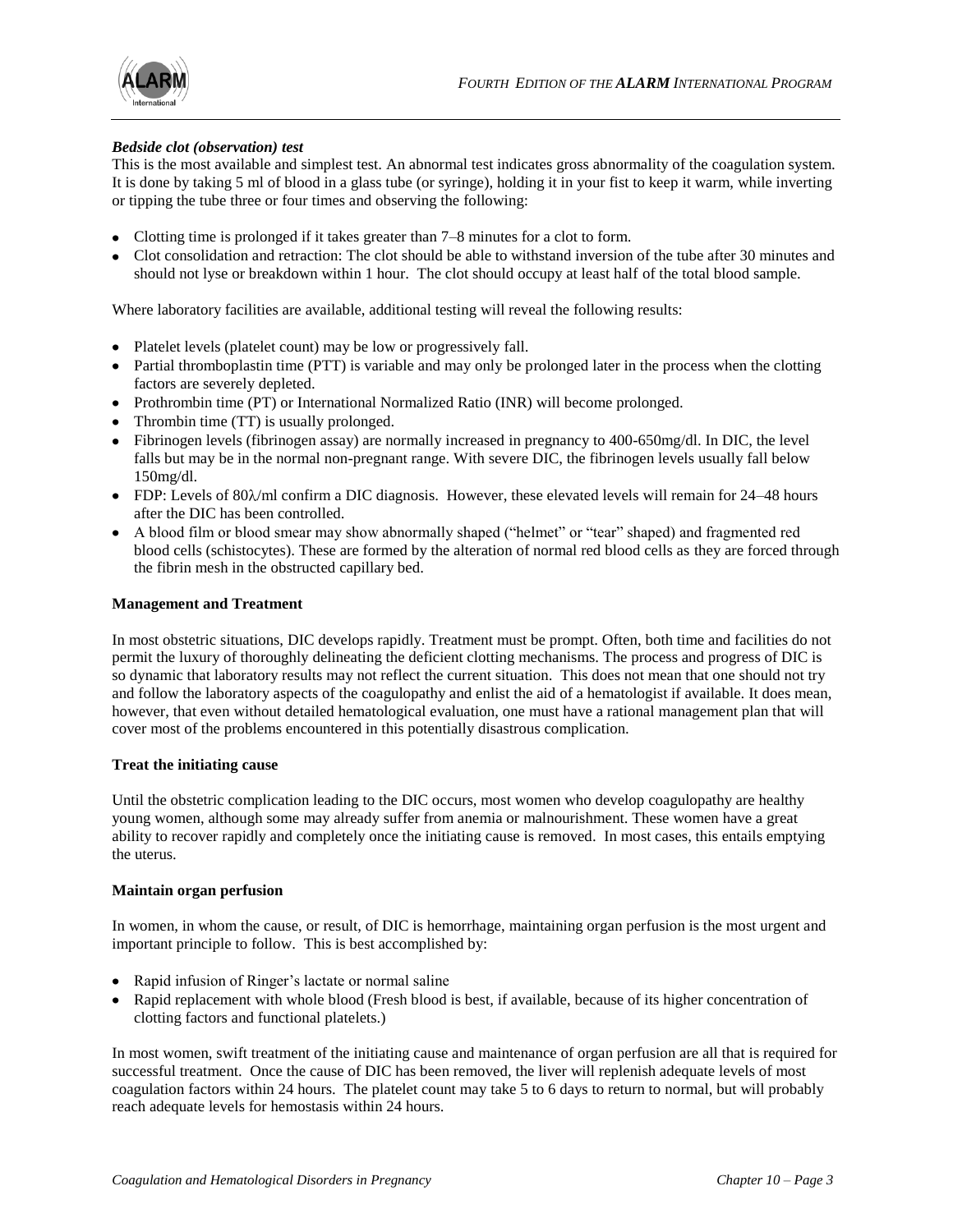

## *Bedside clot (observation) test*

This is the most available and simplest test. An abnormal test indicates gross abnormality of the coagulation system. It is done by taking 5 ml of blood in a glass tube (or syringe), holding it in your fist to keep it warm, while inverting or tipping the tube three or four times and observing the following:

- Clotting time is prolonged if it takes greater than 7–8 minutes for a clot to form.
- Clot consolidation and retraction: The clot should be able to withstand inversion of the tube after 30 minutes and should not lyse or breakdown within 1 hour. The clot should occupy at least half of the total blood sample.

Where laboratory facilities are available, additional testing will reveal the following results:

- Platelet levels (platelet count) may be low or progressively fall.
- Partial thromboplastin time (PTT) is variable and may only be prolonged later in the process when the clotting factors are severely depleted.
- Prothrombin time (PT) or International Normalized Ratio (INR) will become prolonged.
- Thrombin time (TT) is usually prolonged.
- Fibrinogen levels (fibrinogen assay) are normally increased in pregnancy to 400-650mg/dl. In DIC, the level falls but may be in the normal non-pregnant range. With severe DIC, the fibrinogen levels usually fall below 150mg/dl.
- FDP: Levels of  $80\lambda$ /ml confirm a DIC diagnosis. However, these elevated levels will remain for 24–48 hours after the DIC has been controlled.
- A blood film or blood smear may show abnormally shaped ("helmet" or "tear" shaped) and fragmented red blood cells (schistocytes). These are formed by the alteration of normal red blood cells as they are forced through the fibrin mesh in the obstructed capillary bed.

## **Management and Treatment**

In most obstetric situations, DIC develops rapidly. Treatment must be prompt. Often, both time and facilities do not permit the luxury of thoroughly delineating the deficient clotting mechanisms. The process and progress of DIC is so dynamic that laboratory results may not reflect the current situation. This does not mean that one should not try and follow the laboratory aspects of the coagulopathy and enlist the aid of a hematologist if available. It does mean, however, that even without detailed hematological evaluation, one must have a rational management plan that will cover most of the problems encountered in this potentially disastrous complication.

## **Treat the initiating cause**

Until the obstetric complication leading to the DIC occurs, most women who develop coagulopathy are healthy young women, although some may already suffer from anemia or malnourishment. These women have a great ability to recover rapidly and completely once the initiating cause is removed. In most cases, this entails emptying the uterus.

#### **Maintain organ perfusion**

In women, in whom the cause, or result, of DIC is hemorrhage, maintaining organ perfusion is the most urgent and important principle to follow. This is best accomplished by:

- Rapid infusion of Ringer's lactate or normal saline
- Rapid replacement with whole blood (Fresh blood is best, if available, because of its higher concentration of clotting factors and functional platelets.)

In most women, swift treatment of the initiating cause and maintenance of organ perfusion are all that is required for successful treatment. Once the cause of DIC has been removed, the liver will replenish adequate levels of most coagulation factors within 24 hours. The platelet count may take 5 to 6 days to return to normal, but will probably reach adequate levels for hemostasis within 24 hours.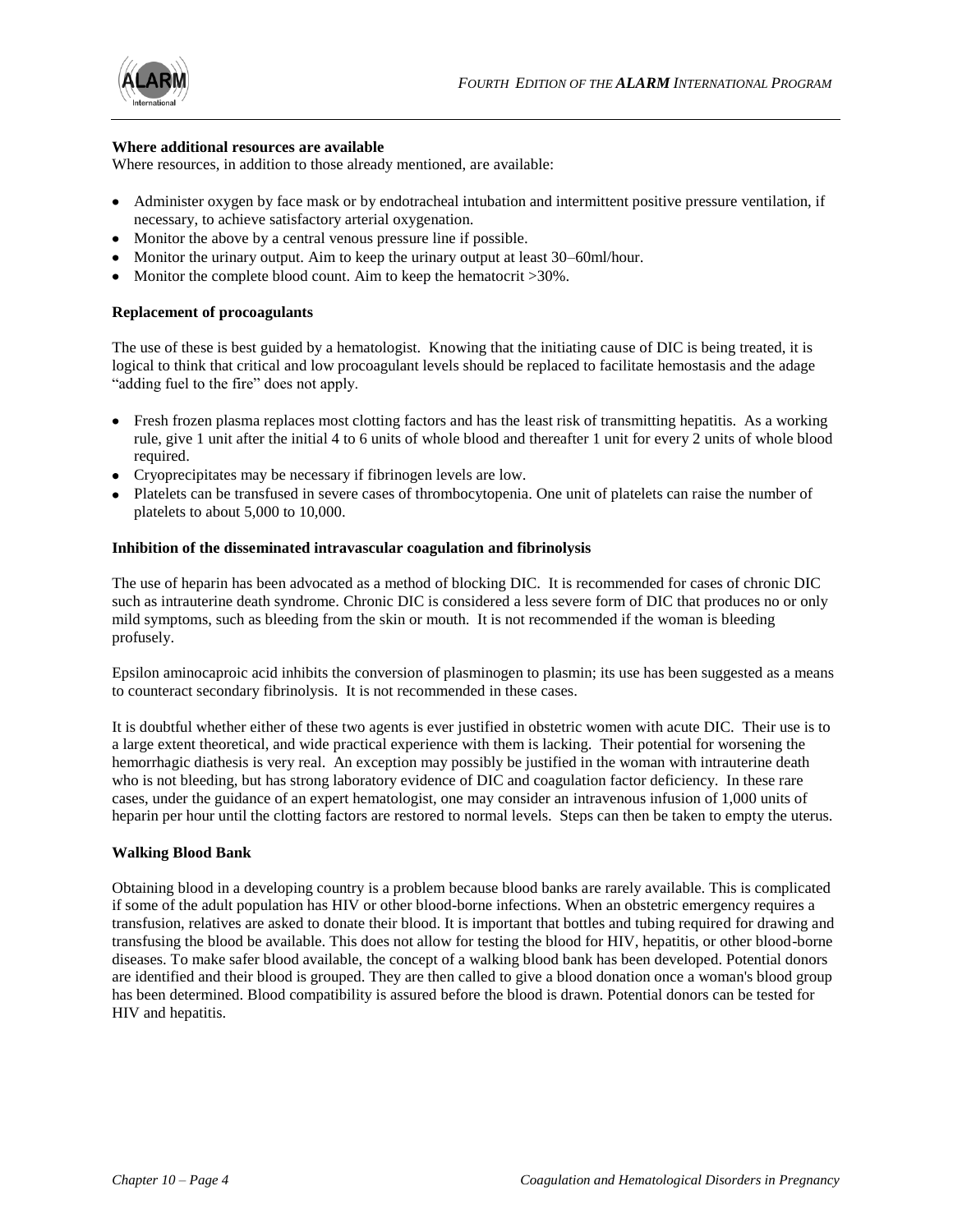

#### **Where additional resources are available**

Where resources, in addition to those already mentioned, are available:

- Administer oxygen by face mask or by endotracheal intubation and intermittent positive pressure ventilation, if necessary, to achieve satisfactory arterial oxygenation.
- Monitor the above by a central venous pressure line if possible.
- Monitor the urinary output. Aim to keep the urinary output at least 30–60ml/hour.
- Monitor the complete blood count. Aim to keep the hematocrit >30%.

## **Replacement of procoagulants**

The use of these is best guided by a hematologist. Knowing that the initiating cause of DIC is being treated, it is logical to think that critical and low procoagulant levels should be replaced to facilitate hemostasis and the adage "adding fuel to the fire" does not apply.

- Fresh frozen plasma replaces most clotting factors and has the least risk of transmitting hepatitis. As a working rule, give 1 unit after the initial 4 to 6 units of whole blood and thereafter 1 unit for every 2 units of whole blood required.
- Cryoprecipitates may be necessary if fibrinogen levels are low.
- Platelets can be transfused in severe cases of thrombocytopenia. One unit of platelets can raise the number of platelets to about 5,000 to 10,000.

## **Inhibition of the disseminated intravascular coagulation and fibrinolysis**

The use of heparin has been advocated as a method of blocking DIC. It is recommended for cases of chronic DIC such as intrauterine death syndrome. Chronic DIC is considered a less severe form of DIC that produces no or only mild symptoms, such as bleeding from the skin or mouth. It is not recommended if the woman is bleeding profusely.

Epsilon aminocaproic acid inhibits the conversion of plasminogen to plasmin; its use has been suggested as a means to counteract secondary fibrinolysis. It is not recommended in these cases.

It is doubtful whether either of these two agents is ever justified in obstetric women with acute DIC. Their use is to a large extent theoretical, and wide practical experience with them is lacking. Their potential for worsening the hemorrhagic diathesis is very real. An exception may possibly be justified in the woman with intrauterine death who is not bleeding, but has strong laboratory evidence of DIC and coagulation factor deficiency. In these rare cases, under the guidance of an expert hematologist, one may consider an intravenous infusion of 1,000 units of heparin per hour until the clotting factors are restored to normal levels. Steps can then be taken to empty the uterus.

## **Walking Blood Bank**

Obtaining blood in a developing country is a problem because blood banks are rarely available. This is complicated if some of the adult population has HIV or other blood-borne infections. When an obstetric emergency requires a transfusion, relatives are asked to donate their blood. It is important that bottles and tubing required for drawing and transfusing the blood be available. This does not allow for testing the blood for HIV, hepatitis, or other blood-borne diseases. To make safer blood available, the concept of a walking blood bank has been developed. Potential donors are identified and their blood is grouped. They are then called to give a blood donation once a woman's blood group has been determined. Blood compatibility is assured before the blood is drawn. Potential donors can be tested for HIV and hepatitis.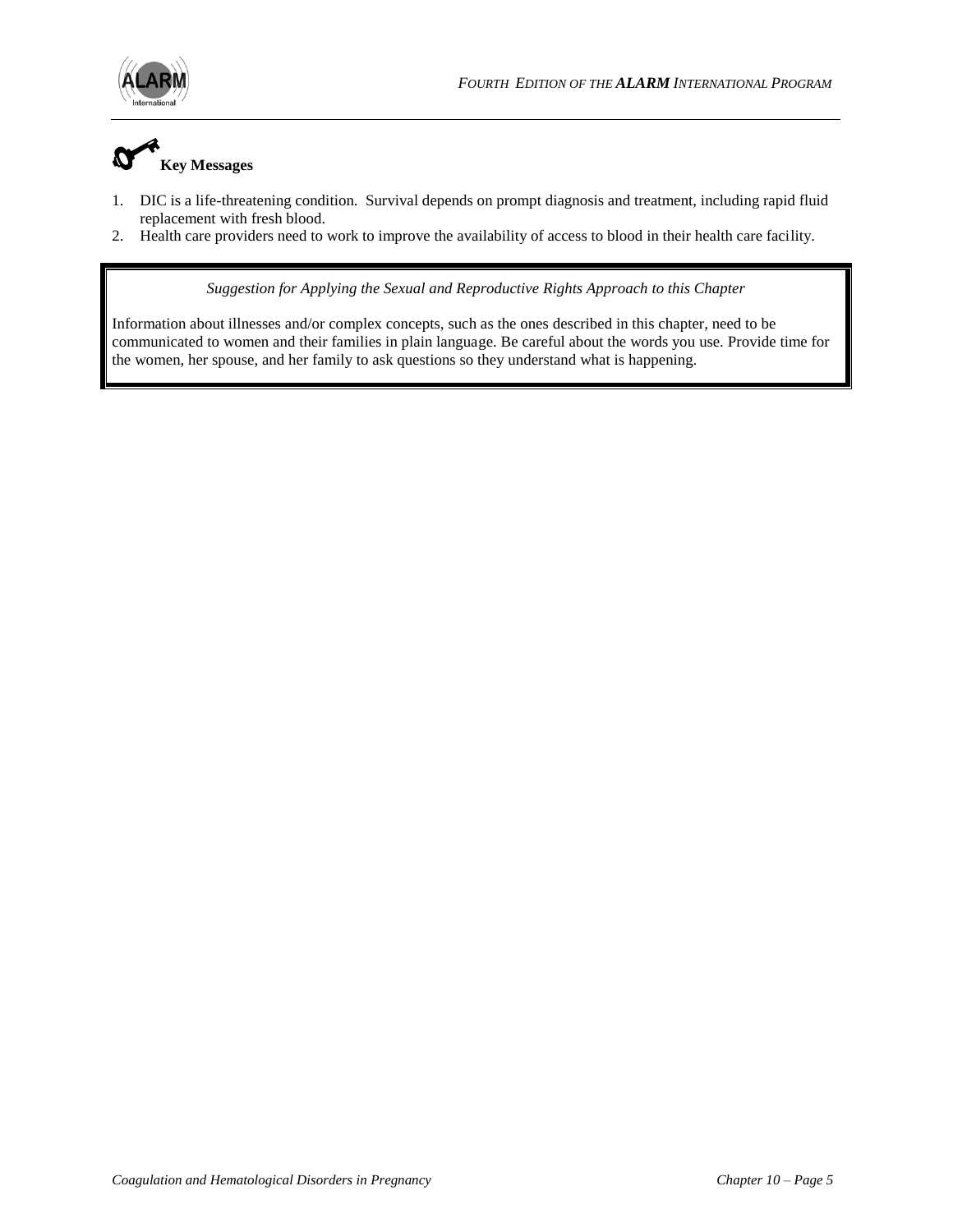



- 1. DIC is a life-threatening condition. Survival depends on prompt diagnosis and treatment, including rapid fluid replacement with fresh blood.
- 2. Health care providers need to work to improve the availability of access to blood in their health care facility.

*Suggestion for Applying the Sexual and Reproductive Rights Approach to this Chapter*

Information about illnesses and/or complex concepts, such as the ones described in this chapter, need to be communicated to women and their families in plain language. Be careful about the words you use. Provide time for the women, her spouse, and her family to ask questions so they understand what is happening.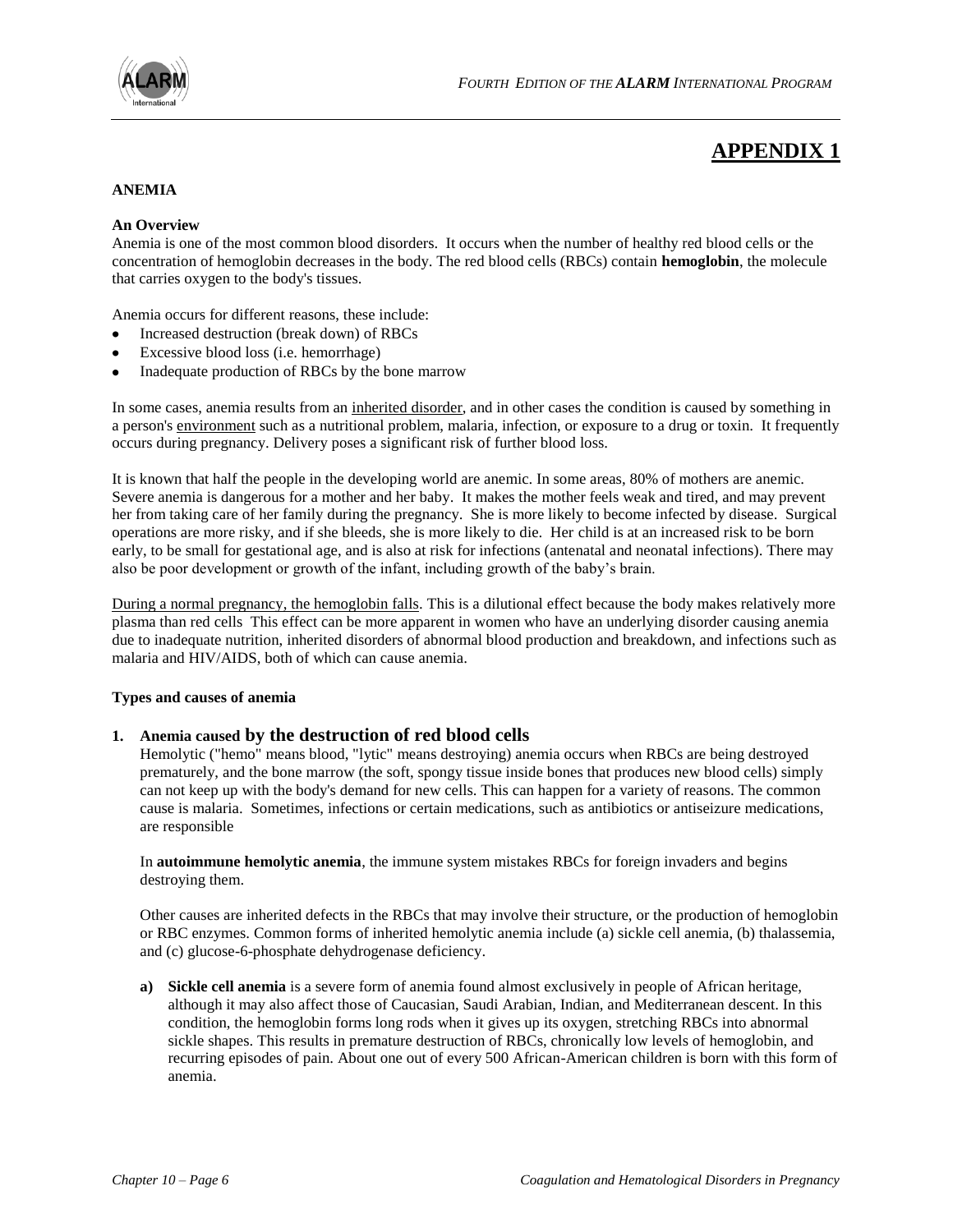

# **APPENDIX 1**

#### **ANEMIA**

#### **An Overview**

Anemia is one of the most common blood disorders. It occurs when the number of healthy red blood cells or the concentration of hemoglobin decreases in the body. The red blood cells (RBCs) contain **hemoglobin**, the molecule that carries oxygen to the body's tissues.

Anemia occurs for different reasons, these include:

- Increased destruction (break down) of RBCs
- Excessive blood loss (i.e. hemorrhage)
- Inadequate production of RBCs by the bone marrow

In some cases, anemia results from an [inherited disorder,](http://kidshealth.org/parent/system/medical/genetics.html) and in other cases the condition is caused by something in a person's [environment](http://kidshealth.org/parent/firstaid_safe/home/environ.html) such as a nutritional problem, malaria, infection, or exposure to a drug or toxin. It frequently occurs during pregnancy. Delivery poses a significant risk of further blood loss.

It is known that half the people in the developing world are anemic. In some areas, 80% of mothers are anemic. Severe anemia is dangerous for a mother and her baby. It makes the mother feels weak and tired, and may prevent her from taking care of her family during the pregnancy. She is more likely to become infected by disease. Surgical operations are more risky, and if she bleeds, she is more likely to die. Her child is at an increased risk to be born early, to be small for gestational age, and is also at risk for infections (antenatal and neonatal infections). There may also be poor development or growth of the infant, including growth of the baby's brain.

During a normal pregnancy, the hemoglobin falls. This is a dilutional effect because the body makes relatively more plasma than red cells This effect can be more apparent in women who have an underlying disorder causing anemia due to inadequate nutrition, inherited disorders of abnormal blood production and breakdown, and infections such as malaria and HIV/AIDS, both of which can cause anemia.

#### **Types and causes of anemia**

## **1. Anemia caused by the destruction of red blood cells**

Hemolytic ("hemo" means blood, "lytic" means destroying) anemia occurs when RBCs are being destroyed prematurely, and the bone marrow (the soft, spongy tissue inside bones that produces new blood cells) simply can not keep up with the body's demand for new cells. This can happen for a variety of reasons. The common cause is malaria. Sometimes, infections or certain medications, such as antibiotics or antiseizure medications, are responsible

In **autoimmune hemolytic anemia**, the immune system mistakes RBCs for foreign invaders and begins destroying them.

Other causes are inherited defects in the RBCs that may involve their structure, or the production of hemoglobin or RBC enzymes. Common forms of inherited hemolytic anemia include (a) sickle cell anemia, (b) thalassemia, and (c) glucose-6-phosphate dehydrogenase deficiency.

**a) [Sickle cell anemia](http://kidshealth.org/parent/medical/heart/sickle_cell_anemia.html)** is a severe form of anemia found almost exclusively in people of African heritage, although it may also affect those of Caucasian, Saudi Arabian, Indian, and Mediterranean descent. In this condition, the hemoglobin forms long rods when it gives up its oxygen, stretching RBCs into abnormal sickle shapes. This results in premature destruction of RBCs, chronically low levels of hemoglobin, and recurring episodes of pain. About one out of every 500 African-American children is born with this form of anemia.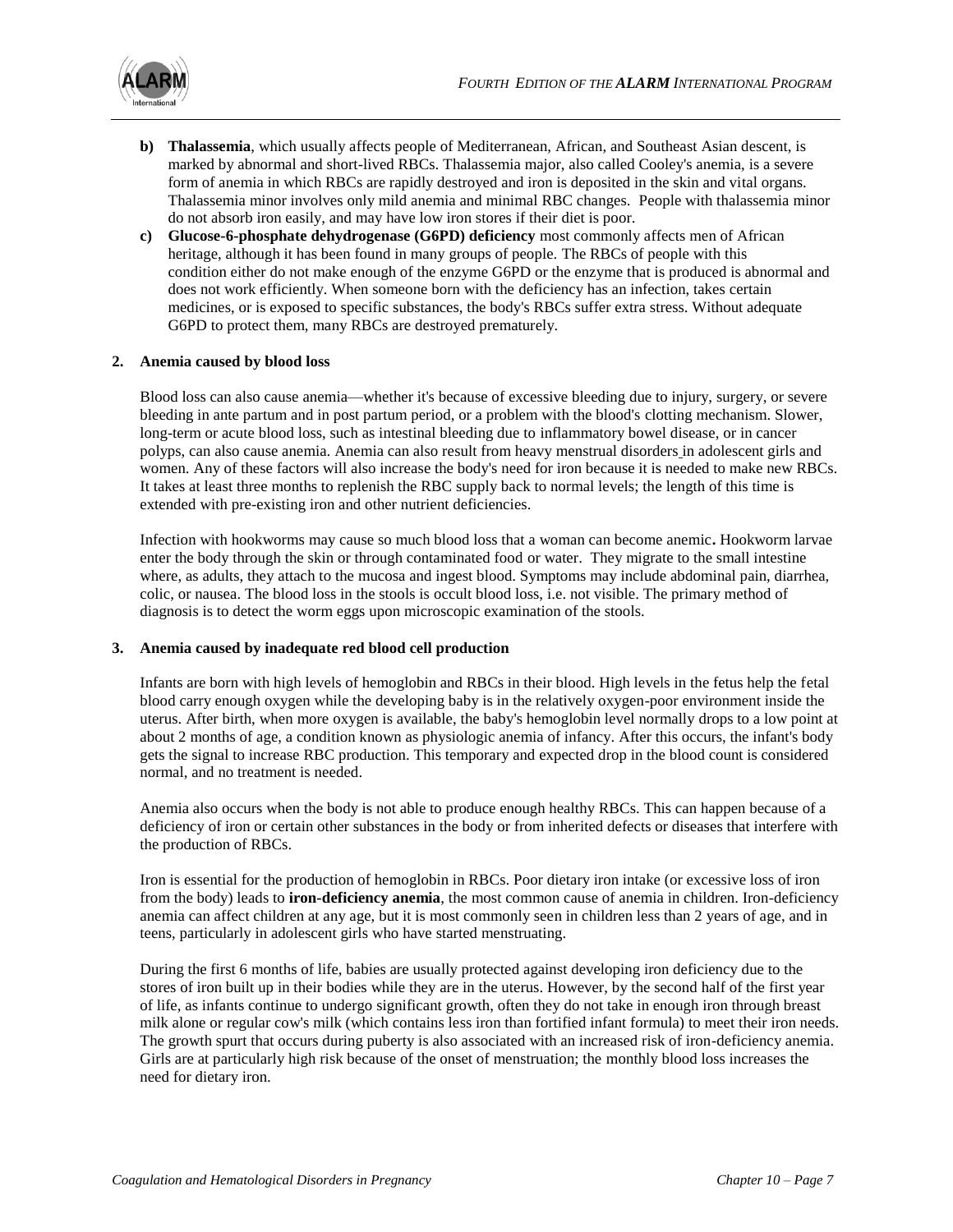

- **b) [Thalassemia](http://kidshealth.org/parent/medical/heart/thalassemias.html)**, which usually affects people of Mediterranean, African, and Southeast Asian descent, is marked by abnormal and short-lived RBCs. Thalassemia major, also called Cooley's anemia, is a severe form of anemia in which RBCs are rapidly destroyed and iron is deposited in the skin and vital organs. Thalassemia minor involves only mild anemia and minimal RBC changes.People with thalassemia minor do not absorb iron easily, and may have low iron stores if their diet is poor.
- **c) [Glucose-6-phosphate dehydrogenase \(G6PD\) deficiency](http://kidshealth.org/parent/general/aches/g6pd.html)** most commonly affects men of African heritage, although it has been found in many groups of people. The RBCs of people with this condition either do not make enough of the enzyme G6PD or the enzyme that is produced is abnormal and does not work efficiently. When someone born with the deficiency has an infection, takes certain medicines, or is exposed to specific substances, the body's RBCs suffer extra stress. Without adequate G6PD to protect them, many RBCs are destroyed prematurely.

## **2. Anemia caused by blood loss**

Blood loss can also cause anemia—whether it's because of excessive bleeding due to injury, surgery, or severe bleeding in ante partum and in post partum period, or a problem with the blood's clotting mechanism. Slower, long-term or acute blood loss, such as intestinal bleeding due to [inflammatory bowel disease,](http://kidshealth.org/parent/medical/digestive/ibd.html) or in cancer polyps, can also cause anemia. Anemia can also result from heavy menstrual disorders in adolescent girls and women. Any of these factors will also increase the body's need for iron because it is needed to make new RBCs. It takes at least three months to replenish the RBC supply back to normal levels; the length of this time is extended with pre-existing iron and other nutrient deficiencies.

Infection with hookworms may cause so much blood loss that a woman can become anemic**.** Hookworm larvae enter the body through the skin or through contaminated food or water. They migrate to the small intestine where, as adults, they attach to the mucosa and ingest blood. Symptoms may include abdominal pain, diarrhea, colic, or nausea. The blood loss in the stools is occult blood loss, i.e. not visible. The primary method of diagnosis is to detect the worm eggs upon microscopic examination of the stools.

## **3. Anemia caused by inadequate red blood cell production**

Infants are born with high levels of hemoglobin and RBCs in their blood. High levels in the fetus help the fetal blood carry enough oxygen while the developing baby is in the relatively oxygen-poor environment inside the uterus. After birth, when more oxygen is available, the baby's hemoglobin level normally drops to a low point at about 2 months of age, a condition known as physiologic anemia of infancy. After this occurs, the infant's body gets the signal to increase RBC production. This temporary and expected drop in the blood count is considered normal, and no treatment is needed.

Anemia also occurs when the body is not able to produce enough healthy RBCs. This can happen because of a deficiency of iron or certain other substances in the body or from inherited defects or diseases that interfere with the production of RBCs.

Iron is essential for the production of hemoglobin in RBCs. Poor dietary iron intake (or excessive loss of iron from the body) leads to **iron-deficiency anemia**, the most common cause of anemia in children. Iron-deficiency anemia can affect children at any age, but it is most commonly seen in children less than 2 years of age, and in teens, particularly in adolescent girls who have started menstruating.

During the first 6 months of life, babies are usually protected against developing iron deficiency due to the stores of iron built up in their bodies while they are in the uterus. However, by the second half of the first year of life, as infants continue to undergo significant growth, often they do not take in enough iron through breast milk alone or regular cow's milk (which contains less iron than fortified infant formula) to meet their iron needs. The growth spurt that occurs during puberty is also associated with an increased risk of iron-deficiency anemia. Girls are at particularly high risk because of the onset of menstruation; the monthly blood loss increases the need for dietary iron.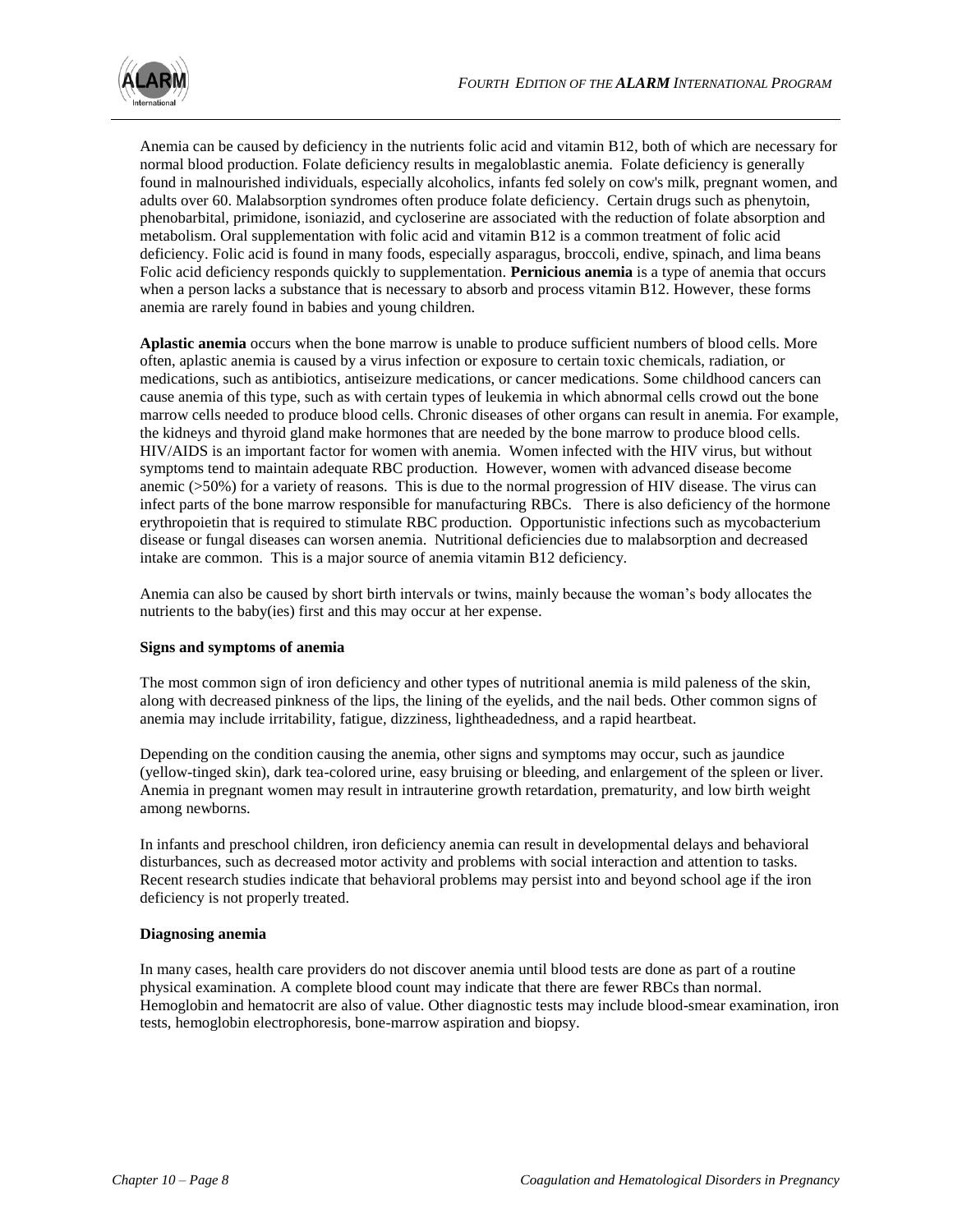Anemia can be caused by deficiency in the nutrients folic acid and vitamin B12, both of which are necessary for normal blood production. Folate deficiency results in megaloblastic anemia. Folate deficiency is generally found in malnourished individuals, especially alcoholics, infants fed solely on cow's milk, pregnant women, and adults over 60. Malabsorption syndromes often produce folate deficiency. Certain drugs such as phenytoin, phenobarbital, primidone, isoniazid, and cycloserine are associated with the reduction of folate absorption and metabolism. Oral supplementation with folic acid and vitamin B12 is a common treatment of folic acid deficiency. Folic acid is found in many foods, especially asparagus, broccoli, endive, spinach, and lima beans Folic acid deficiency responds quickly to supplementation. **Pernicious anemia** is a type of anemia that occurs when a person lacks a substance that is necessary to absorb and process vitamin B12. However, these forms anemia are rarely found in babies and young children.

**Aplastic anemia** occurs when the bone marrow is unable to produce sufficient numbers of blood cells. More often, aplastic anemia is caused by a virus infection or exposure to certain toxic chemicals, radiation, or medications, such as antibiotics, antiseizure medications, or cancer medications. Some [childhood cancers](http://kidshealth.org/parent/medical/cancer/cancer.html) can cause anemia of this type, such as with certain types of leukemia in which abnormal cells crowd out the bone marrow cells needed to produce blood cells. Chronic diseases of other organs can result in anemia. For example, the kidneys and thyroid gland make hormones that are needed by the bone marrow to produce blood cells. HIV/AIDS is an important factor for women with anemia. Women infected with the HIV virus, but without symptoms tend to maintain adequate RBC production. However, women with advanced disease become anemic (>50%) for a variety of reasons. This is due to the normal progression of HIV disease. The virus can infect parts of the bone marrow responsible for manufacturing RBCs. There is also deficiency of the hormone erythropoietin that is required to stimulate RBC production. Opportunistic infections such as mycobacterium disease or fungal diseases can worsen anemia. Nutritional deficiencies due to malabsorption and decreased intake are common. This is a major source of anemia vitamin B12 deficiency.

Anemia can also be caused by short birth intervals or twins, mainly because the woman's body allocates the nutrients to the baby(ies) first and this may occur at her expense.

## **Signs and symptoms of anemia**

The most common sign of iron deficiency and other types of nutritional anemia is mild paleness of the skin, along with decreased pinkness of the lips, the lining of the eyelids, and the nail beds. Other common signs of anemia may include irritability, fatigue, dizziness, lightheadedness, and a rapid heartbeat.

Depending on the condition causing the anemia, other signs and symptoms may occur, such as jaundice (yellow-tinged skin), dark tea-colored urine, easy bruising or bleeding, and enlargement of the spleen or liver. Anemia in pregnant women may result in intrauterine growth retardation, prematurity, and low birth weight among newborns.

In infants and preschool children, iron deficiency anemia can result in developmental delays and behavioral disturbances, such as decreased motor activity and problems with social interaction and attention to tasks. Recent research studies indicate that behavioral problems may persist into and beyond school age if the iron deficiency is not properly treated.

## **Diagnosing anemia**

In many cases, health care providers do not discover anemia until blood tests are done as part of a routine physical examination. A [complete blood count](http://kidshealth.org/parent/general/sick/labtest4.html) may indicate that there are fewer RBCs than normal. Hemoglobin and hematocrit are also of value. Other diagnostic tests may include blood-smear examination, iron tests, hemoglobin electrophoresis, bone-marrow aspiration and biopsy.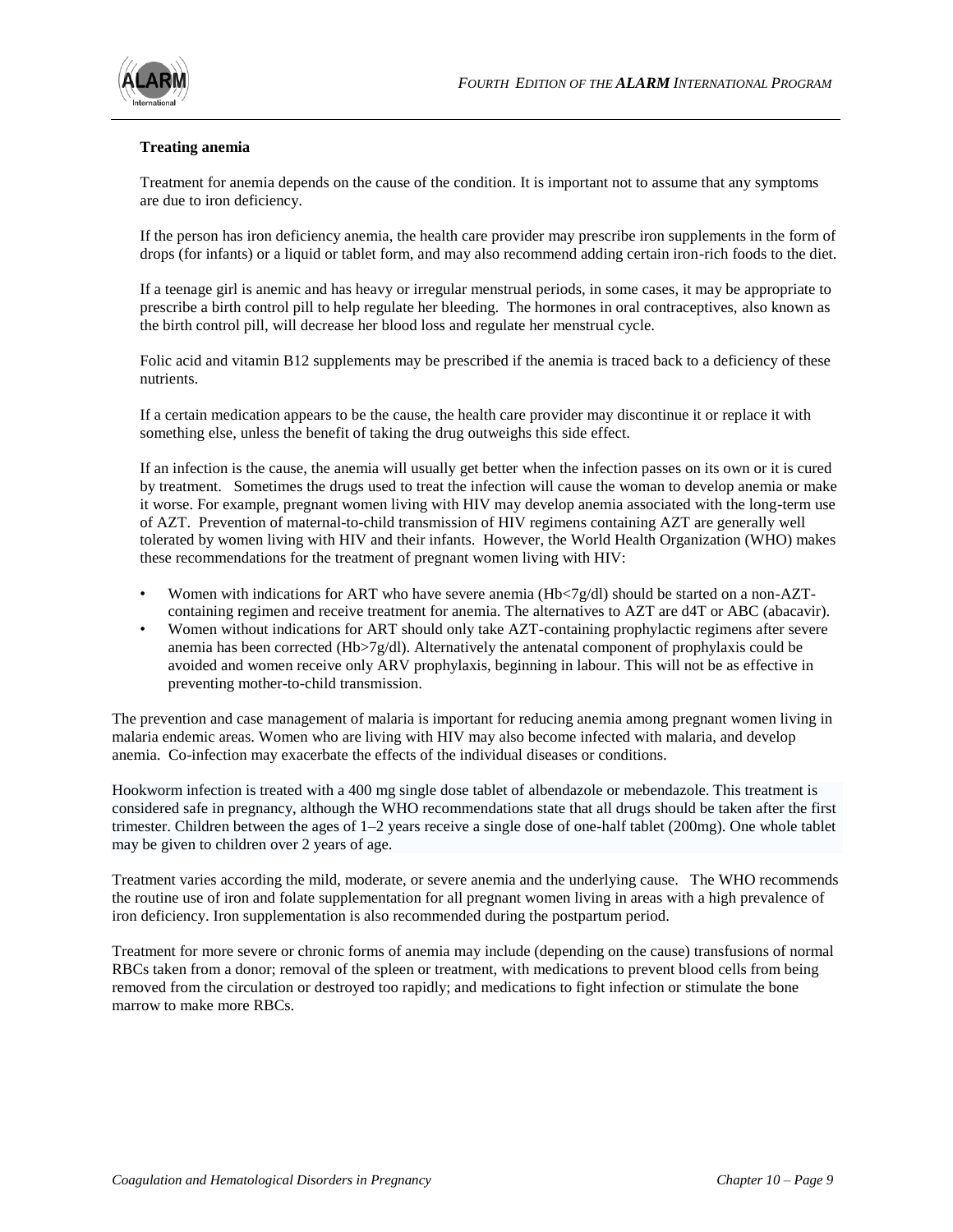

## **Treating anemia**

Treatment for anemia depends on the cause of the condition. It is important not to assume that any symptoms are due to iron deficiency.

If the person has iron deficiency anemia, the health care provider may prescribe iron supplements in the form of drops (for infants) or a liquid or tablet form, and may also recommend adding certain iron-rich foods to the diet.

If a teenage girl is anemic and has heavy or irregular menstrual periods, in some cases, it may be appropriate to prescribe a birth control pill to help regulate her bleeding. The hormones in oral contraceptives, also known as the birth control pill, will decrease her blood loss and regulate her menstrual cycle.

Folic acid and vitamin B12 supplements may be prescribed if the anemia is traced back to a deficiency of these nutrients.

If a certain medication appears to be the cause, the health care provider may discontinue it or replace it with something else, unless the benefit of taking the drug outweighs this side effect.

If an infection is the cause, the anemia will usually get better when the infection passes on its own or it is cured by treatment. Sometimes the drugs used to treat the infection will cause the woman to develop anemia or make it worse. For example, pregnant women living with HIV may develop anemia associated with the long-term use of AZT. Prevention of maternal-to-child transmission of HIV regimens containing AZT are generally well tolerated by women living with HIV and their infants. However, the World Health Organization (WHO) makes these recommendations for the treatment of pregnant women living with HIV:

- Women with indications for ART who have severe anemia (Hb $\langle 7g/dl \rangle$ ) should be started on a non-AZTcontaining regimen and receive treatment for anemia. The alternatives to AZT are d4T or ABC (abacavir).
- Women without indications for ART should only take AZT-containing prophylactic regimens after severe anemia has been corrected (Hb>7g/dl). Alternatively the antenatal component of prophylaxis could be avoided and women receive only ARV prophylaxis, beginning in labour. This will not be as effective in preventing mother-to-child transmission.

The prevention and case management of malaria is important for reducing anemia among pregnant women living in malaria endemic areas. Women who are living with HIV may also become infected with malaria, and develop anemia. Co-infection may exacerbate the effects of the individual diseases or conditions.

Hookworm infection is treated with a 400 mg single dose tablet of [albendazole](http://en.wikipedia.org/wiki/Albendazole) or mebendazole. This treatment is considered safe in pregnancy, although the WHO recommendations state that all drugs should be taken after the first trimester. Children between the ages of 1–2 years receive a single dose of one-half tablet (200mg). One whole tablet may be given to children over 2 years of age.

Treatment varies according the mild, moderate, or severe anemia and the underlying cause. The WHO recommends the routine use of iron and folate supplementation for all pregnant women living in areas with a high prevalence of iron deficiency. Iron supplementation is also recommended during the postpartum period.

Treatment for more severe or chronic forms of anemia may include (depending on the cause) transfusions of normal RBCs taken from a donor; removal of the spleen or treatment, with medications to prevent blood cells from being removed from the circulation or destroyed too rapidly; and medications to fight infection or stimulate the bone marrow to make more RBCs.